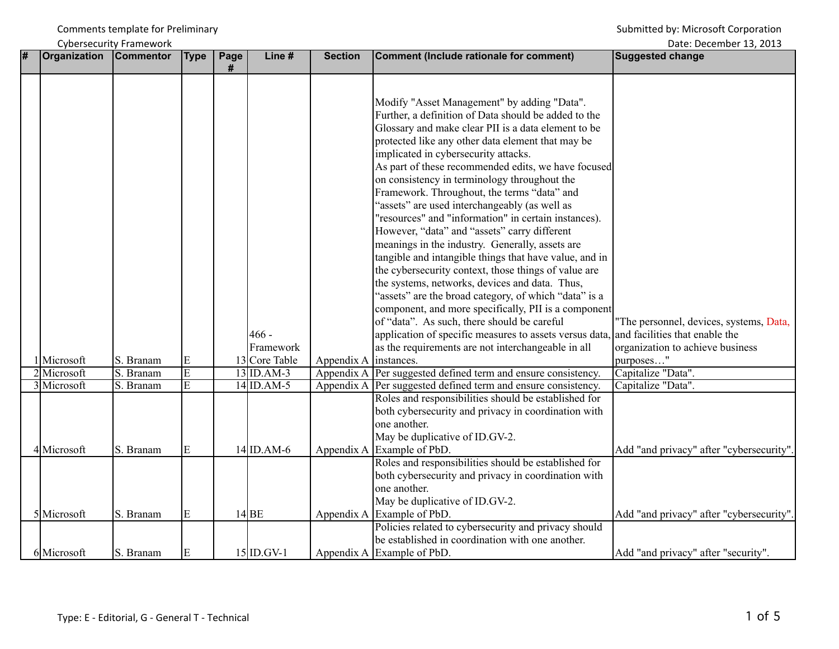Comments template for Preliminary and the state of the state of the Submitted by: Microsoft Corporation

| # | Organization | <b>Commentor</b> | <b>Type</b>             | Page<br># | Line #                  | <b>Section</b>         | Comment (Include rationale for comment)                                                                                                                                                                                                                                                                                                                                                                                                                                                                                                                                                                                                                                                                                                                                                                                                                                                                                                                                                                                                                                                                       | <b>Suggested change</b>                                                     |
|---|--------------|------------------|-------------------------|-----------|-------------------------|------------------------|---------------------------------------------------------------------------------------------------------------------------------------------------------------------------------------------------------------------------------------------------------------------------------------------------------------------------------------------------------------------------------------------------------------------------------------------------------------------------------------------------------------------------------------------------------------------------------------------------------------------------------------------------------------------------------------------------------------------------------------------------------------------------------------------------------------------------------------------------------------------------------------------------------------------------------------------------------------------------------------------------------------------------------------------------------------------------------------------------------------|-----------------------------------------------------------------------------|
|   |              |                  |                         |           | 466 -<br>Framework      |                        | Modify "Asset Management" by adding "Data".<br>Further, a definition of Data should be added to the<br>Glossary and make clear PII is a data element to be<br>protected like any other data element that may be<br>implicated in cybersecurity attacks.<br>As part of these recommended edits, we have focused<br>on consistency in terminology throughout the<br>Framework. Throughout, the terms "data" and<br>'assets" are used interchangeably (as well as<br>"resources" and "information" in certain instances).<br>However, "data" and "assets" carry different<br>meanings in the industry. Generally, assets are<br>tangible and intangible things that have value, and in<br>the cybersecurity context, those things of value are<br>the systems, networks, devices and data. Thus,<br>"assets" are the broad category, of which "data" is a<br>component, and more specifically, PII is a component<br>of "data". As such, there should be careful<br>application of specific measures to assets versus data, and facilities that enable the<br>as the requirements are not interchangeable in all | "The personnel, devices, systems, Data,<br>organization to achieve business |
|   | 1 Microsoft  | S. Branam        | E                       |           | 13 Core Table           | Appendix A linstances. |                                                                                                                                                                                                                                                                                                                                                                                                                                                                                                                                                                                                                                                                                                                                                                                                                                                                                                                                                                                                                                                                                                               | purposes"                                                                   |
|   | 2 Microsoft  | S. Branam        | $\overline{\mathrm{E}}$ |           | $13$ ID.AM-3            |                        | Appendix A Per suggested defined term and ensure consistency.                                                                                                                                                                                                                                                                                                                                                                                                                                                                                                                                                                                                                                                                                                                                                                                                                                                                                                                                                                                                                                                 | Capitalize "Data".                                                          |
|   | 3 Microsoft  | S. Branam        | $\overline{\mathrm{E}}$ |           | $14$ ID.AM-5            |                        | Appendix A Per suggested defined term and ensure consistency.                                                                                                                                                                                                                                                                                                                                                                                                                                                                                                                                                                                                                                                                                                                                                                                                                                                                                                                                                                                                                                                 | Capitalize "Data".                                                          |
|   |              |                  |                         |           |                         |                        | Roles and responsibilities should be established for<br>both cybersecurity and privacy in coordination with<br>one another.<br>May be duplicative of ID.GV-2.                                                                                                                                                                                                                                                                                                                                                                                                                                                                                                                                                                                                                                                                                                                                                                                                                                                                                                                                                 |                                                                             |
|   | 4 Microsoft  | S. Branam        | E                       |           | $14$ <sup>ID.AM-6</sup> |                        | Appendix A Example of PbD.<br>Roles and responsibilities should be established for<br>both cybersecurity and privacy in coordination with<br>one another.<br>May be duplicative of ID.GV-2.                                                                                                                                                                                                                                                                                                                                                                                                                                                                                                                                                                                                                                                                                                                                                                                                                                                                                                                   | Add "and privacy" after "cybersecurity".                                    |
|   | 5 Microsoft  | S. Branam        | ${\bf E}$               |           | $14$ BE                 |                        | Appendix A Example of PbD.                                                                                                                                                                                                                                                                                                                                                                                                                                                                                                                                                                                                                                                                                                                                                                                                                                                                                                                                                                                                                                                                                    | Add "and privacy" after "cybersecurity".                                    |
|   |              |                  |                         |           |                         |                        | Policies related to cybersecurity and privacy should<br>be established in coordination with one another.                                                                                                                                                                                                                                                                                                                                                                                                                                                                                                                                                                                                                                                                                                                                                                                                                                                                                                                                                                                                      |                                                                             |
|   | 6 Microsoft  | S. Branam        | ${\bf E}$               |           | $15 ID.GV-1$            |                        | Appendix A Example of PbD.                                                                                                                                                                                                                                                                                                                                                                                                                                                                                                                                                                                                                                                                                                                                                                                                                                                                                                                                                                                                                                                                                    | Add "and privacy" after "security".                                         |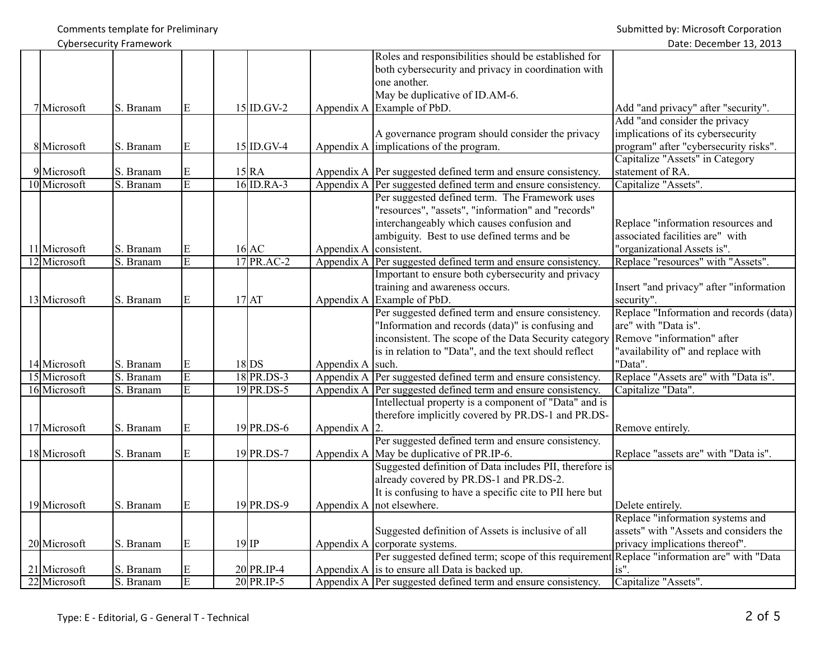| <b>Cybersecurity Framework</b><br>Date: December 13, 2013 |           |                         |  |                    |            |                                                                                                                             |                                         |  |  |  |
|-----------------------------------------------------------|-----------|-------------------------|--|--------------------|------------|-----------------------------------------------------------------------------------------------------------------------------|-----------------------------------------|--|--|--|
|                                                           |           |                         |  |                    |            | Roles and responsibilities should be established for                                                                        |                                         |  |  |  |
|                                                           |           |                         |  |                    |            | both cybersecurity and privacy in coordination with                                                                         |                                         |  |  |  |
|                                                           |           |                         |  |                    |            | one another.                                                                                                                |                                         |  |  |  |
|                                                           |           |                         |  |                    |            | May be duplicative of ID.AM-6.                                                                                              |                                         |  |  |  |
| 7Microsoft                                                | S. Branam | E                       |  | $15 ID.GV-2$       |            | Appendix A Example of PbD.                                                                                                  | Add "and privacy" after "security".     |  |  |  |
|                                                           |           |                         |  |                    |            |                                                                                                                             | Add "and consider the privacy           |  |  |  |
|                                                           |           |                         |  |                    |            | A governance program should consider the privacy                                                                            | implications of its cybersecurity       |  |  |  |
| 8 Microsoft                                               | S. Branam | E                       |  | $15$ ID. GV-4      |            | Appendix A implications of the program.                                                                                     | program" after "cybersecurity risks".   |  |  |  |
|                                                           |           |                         |  |                    |            |                                                                                                                             | Capitalize "Assets" in Category         |  |  |  |
| 9 Microsoft                                               | S. Branam | E                       |  | $15$ <sub>RA</sub> |            | Appendix A Per suggested defined term and ensure consistency.                                                               | statement of RA.                        |  |  |  |
| 10 Microsoft                                              | S. Branam | $\overline{\mathrm{E}}$ |  | $16$ ID.RA-3       |            | Appendix A Per suggested defined term and ensure consistency.                                                               | Capitalize "Assets".                    |  |  |  |
|                                                           |           |                         |  |                    |            | Per suggested defined term. The Framework uses                                                                              |                                         |  |  |  |
|                                                           |           |                         |  |                    |            | "resources", "assets", "information" and "records"                                                                          |                                         |  |  |  |
|                                                           |           |                         |  |                    |            | interchangeably which causes confusion and                                                                                  | Replace "information resources and      |  |  |  |
|                                                           |           |                         |  |                    |            | ambiguity. Best to use defined terms and be                                                                                 | associated facilities are" with         |  |  |  |
| 11 Microsoft                                              | S. Branam | E                       |  | $16$ $AC$          | Appendix A | consistent.                                                                                                                 | "organizational Assets is".             |  |  |  |
| 12 Microsoft                                              | S. Branam | $\overline{E}$          |  | 17 PR.AC-2         | Appendix A | Per suggested defined term and ensure consistency.                                                                          | Replace "resources" with "Assets".      |  |  |  |
|                                                           |           |                         |  |                    |            | Important to ensure both cybersecurity and privacy                                                                          |                                         |  |  |  |
|                                                           |           |                         |  |                    |            | training and awareness occurs.                                                                                              | Insert "and privacy" after "information |  |  |  |
| 13 Microsoft                                              | S. Branam | E                       |  | $17$ $AT$          | Appendix A | Example of PbD.                                                                                                             | security".                              |  |  |  |
|                                                           |           |                         |  |                    |            | Per suggested defined term and ensure consistency.                                                                          | Replace "Information and records (data) |  |  |  |
|                                                           |           |                         |  |                    |            | "Information and records (data)" is confusing and                                                                           | are" with "Data is".                    |  |  |  |
|                                                           |           |                         |  |                    |            | inconsistent. The scope of the Data Security category                                                                       | Remove "information" after              |  |  |  |
|                                                           |           |                         |  |                    |            | is in relation to "Data", and the text should reflect                                                                       | "availability of" and replace with      |  |  |  |
| 14 Microsoft                                              | S. Branam | E                       |  | $18$ DS            | Appendix A | such.                                                                                                                       | "Data".                                 |  |  |  |
| 15 Microsoft                                              | S. Branam | $\overline{\mathrm{E}}$ |  | 18 PR.DS-3         |            | Appendix A Per suggested defined term and ensure consistency.                                                               | Replace "Assets are" with "Data is".    |  |  |  |
| 16 Microsoft                                              | S. Branam | $\overline{\mathrm{E}}$ |  | 19 PR.DS-5         |            | Appendix A Per suggested defined term and ensure consistency.                                                               | Capitalize "Data".                      |  |  |  |
|                                                           |           |                         |  |                    |            | Intellectual property is a component of "Data" and is                                                                       |                                         |  |  |  |
|                                                           |           |                         |  |                    |            | therefore implicitly covered by PR.DS-1 and PR.DS-                                                                          |                                         |  |  |  |
| 17 Microsoft                                              | S. Branam | E                       |  | 19 PR.DS-6         | Appendix A |                                                                                                                             | Remove entirely.                        |  |  |  |
|                                                           |           |                         |  |                    |            | Per suggested defined term and ensure consistency.                                                                          |                                         |  |  |  |
| 18 Microsoft                                              | S. Branam | E                       |  | $19$ PR.DS-7       | Appendix A | May be duplicative of PR.IP-6.                                                                                              | Replace "assets are" with "Data is".    |  |  |  |
|                                                           |           |                         |  |                    |            | Suggested definition of Data includes PII, therefore is                                                                     |                                         |  |  |  |
|                                                           |           |                         |  |                    |            | already covered by PR.DS-1 and PR.DS-2.                                                                                     |                                         |  |  |  |
|                                                           |           |                         |  |                    |            | It is confusing to have a specific cite to PII here but                                                                     |                                         |  |  |  |
| 19 Microsoft                                              | S. Branam | E                       |  | $19$ PR.DS-9       |            |                                                                                                                             | Delete entirely.                        |  |  |  |
|                                                           |           |                         |  |                    |            | Appendix A   not elsewhere.                                                                                                 | Replace "information systems and        |  |  |  |
|                                                           |           |                         |  |                    |            |                                                                                                                             | assets" with "Assets and considers the  |  |  |  |
|                                                           |           |                         |  |                    |            | Suggested definition of Assets is inclusive of all                                                                          |                                         |  |  |  |
| $20$ Microsoft                                            | S. Branam | ${\bf E}$               |  | $19$ IP            |            | Appendix A corporate systems.<br>Per suggested defined term; scope of this requirement Replace "information are" with "Data | privacy implications thereof".          |  |  |  |
|                                                           |           |                         |  |                    |            |                                                                                                                             |                                         |  |  |  |
| $21$ Microsoft                                            | S. Branam | E                       |  | 20 PR.IP-4         |            | Appendix A is to ensure all Data is backed up.                                                                              | $is$ ".                                 |  |  |  |
| 22 Microsoft                                              | S. Branam | $\overline{E}$          |  | $20$ PR.IP-5       |            | Appendix A Per suggested defined term and ensure consistency.                                                               | Capitalize "Assets".                    |  |  |  |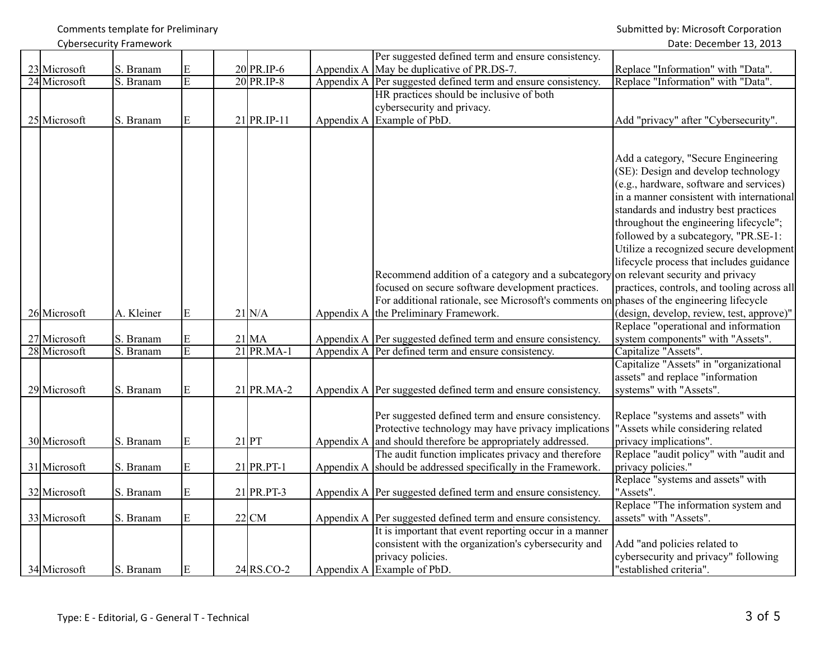Cybersecurity Framework Date: December 13, 2013

Comments template for Preliminary **Submitted by: Microsoft Corporation** 

|                |            |                         |                          |            | Per suggested defined term and ensure consistency.                                        |                                             |
|----------------|------------|-------------------------|--------------------------|------------|-------------------------------------------------------------------------------------------|---------------------------------------------|
| $23$ Microsoft | S. Branam  | E                       | $20$ PR.IP-6             |            | Appendix A May be duplicative of PR.DS-7.                                                 | Replace "Information" with "Data".          |
| 24 Microsoft   | S. Branam  | $\overline{\mathrm{E}}$ | 20 PR.IP-8               |            | Appendix A Per suggested defined term and ensure consistency.                             | Replace "Information" with "Data".          |
|                |            |                         |                          |            | HR practices should be inclusive of both                                                  |                                             |
|                |            |                         |                          |            | cybersecurity and privacy.                                                                |                                             |
| 25 Microsoft   | S. Branam  | E                       | $21 PR/IP-11$            | Appendix A | Example of PbD.                                                                           | Add "privacy" after "Cybersecurity".        |
|                |            |                         |                          |            |                                                                                           |                                             |
|                |            |                         |                          |            |                                                                                           |                                             |
|                |            |                         |                          |            |                                                                                           | Add a category, "Secure Engineering         |
|                |            |                         |                          |            |                                                                                           | (SE): Design and develop technology         |
|                |            |                         |                          |            |                                                                                           | (e.g., hardware, software and services)     |
|                |            |                         |                          |            |                                                                                           | in a manner consistent with international   |
|                |            |                         |                          |            |                                                                                           | standards and industry best practices       |
|                |            |                         |                          |            |                                                                                           | throughout the engineering lifecycle";      |
|                |            |                         |                          |            |                                                                                           | followed by a subcategory, "PR.SE-1:        |
|                |            |                         |                          |            |                                                                                           | Utilize a recognized secure development     |
|                |            |                         |                          |            |                                                                                           | lifecycle process that includes guidance    |
|                |            |                         |                          |            | Recommend addition of a category and a subcategory on relevant security and privacy       |                                             |
|                |            |                         |                          |            | focused on secure software development practices.                                         | practices, controls, and tooling across all |
|                |            |                         |                          |            | For additional rationale, see Microsoft's comments on phases of the engineering lifecycle |                                             |
| $26$ Microsoft | A. Kleiner | E                       | $21$ N/A                 |            | Appendix A the Preliminary Framework.                                                     | (design, develop, review, test, approve)"   |
|                |            |                         |                          |            |                                                                                           | Replace "operational and information        |
| 27 Microsoft   | S. Branam  | E                       | $21$ MA                  |            | Appendix A Per suggested defined term and ensure consistency.                             | system components" with "Assets".           |
| 28 Microsoft   | S. Branam  | $\overline{E}$          | $21$ PR.MA-1             |            | Appendix A Per defined term and ensure consistency.                                       | Capitalize "Assets".                        |
|                |            |                         |                          |            |                                                                                           | Capitalize "Assets" in "organizational      |
|                |            |                         |                          |            |                                                                                           | assets" and replace "information            |
| 29 Microsoft   | S. Branam  | E                       | $21$ PR.MA-2             |            | Appendix A  Per suggested defined term and ensure consistency.                            | systems" with "Assets".                     |
|                |            |                         |                          |            |                                                                                           |                                             |
|                |            |                         |                          |            | Per suggested defined term and ensure consistency.                                        | Replace "systems and assets" with           |
|                |            |                         |                          |            | Protective technology may have privacy implications  "Assets while considering related    |                                             |
| 30 Microsoft   | S. Branam  | E                       | $21$ PT                  |            | Appendix A and should therefore be appropriately addressed.                               | privacy implications".                      |
|                |            |                         |                          |            | The audit function implicates privacy and therefore                                       | Replace "audit policy" with "audit and      |
| 31 Microsoft   | S. Branam  | E                       | $21$ PR.PT-1             |            | Appendix A should be addressed specifically in the Framework.                             | privacy policies."                          |
|                |            |                         |                          |            |                                                                                           | Replace "systems and assets" with           |
| 32 Microsoft   | S. Branam  | E                       | $21$ PR.PT-3             |            | Appendix A Per suggested defined term and ensure consistency.                             | "Assets".                                   |
|                |            |                         |                          |            |                                                                                           | Replace "The information system and         |
| 33 Microsoft   | S. Branam  | E                       | $22$ CM                  |            | Appendix A Per suggested defined term and ensure consistency.                             | assets" with "Assets".                      |
|                |            |                         |                          |            | It is important that event reporting occur in a manner                                    |                                             |
|                |            |                         |                          |            | consistent with the organization's cybersecurity and                                      | Add "and policies related to                |
|                |            |                         |                          |            | privacy policies.                                                                         | cybersecurity and privacy" following        |
| 34 Microsoft   | S. Branam  | ${\bf E}$               | $24$ <sub>RS</sub> .CO-2 |            | Appendix A Example of PbD.                                                                | "established criteria".                     |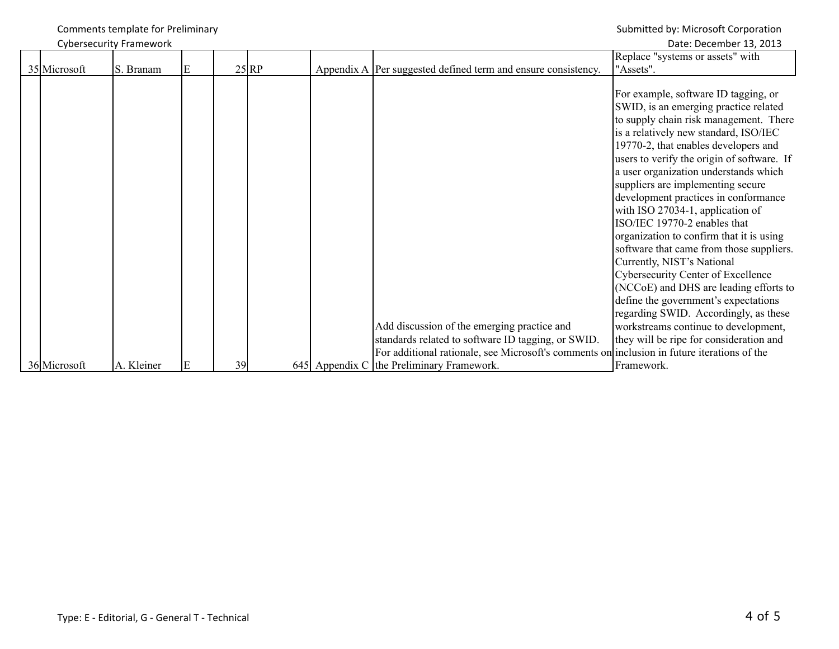Comments template for Preliminary and the state of the state of the Submitted by: Microsoft Corporation

## Cybersecurity Framework Date: December 13, 2013

|              | CYDCI SCCUITLY THUITIC WOI'N |   |    |                    |                                                                                                   |                                                                                                                                                                                                                                                                                                                                                                                                                                                                                                                                                                                                                                                                                                                                                                                                                            |
|--------------|------------------------------|---|----|--------------------|---------------------------------------------------------------------------------------------------|----------------------------------------------------------------------------------------------------------------------------------------------------------------------------------------------------------------------------------------------------------------------------------------------------------------------------------------------------------------------------------------------------------------------------------------------------------------------------------------------------------------------------------------------------------------------------------------------------------------------------------------------------------------------------------------------------------------------------------------------------------------------------------------------------------------------------|
|              |                              |   |    |                    |                                                                                                   | Replace "systems or assets" with                                                                                                                                                                                                                                                                                                                                                                                                                                                                                                                                                                                                                                                                                                                                                                                           |
| 35 Microsoft | Branam                       | E |    | $25$ <sub>RP</sub> | Appendix A Per suggested defined term and ensure consistency.                                     | "Assets".                                                                                                                                                                                                                                                                                                                                                                                                                                                                                                                                                                                                                                                                                                                                                                                                                  |
|              |                              |   |    |                    | Add discussion of the emerging practice and<br>standards related to software ID tagging, or SWID. | For example, software ID tagging, or<br>SWID, is an emerging practice related<br>to supply chain risk management. There<br>is a relatively new standard, ISO/IEC<br>19770-2, that enables developers and<br>users to verify the origin of software. If<br>a user organization understands which<br>suppliers are implementing secure<br>development practices in conformance<br>with ISO 27034-1, application of<br>ISO/IEC 19770-2 enables that<br>organization to confirm that it is using<br>software that came from those suppliers.<br>Currently, NIST's National<br>Cybersecurity Center of Excellence<br>(NCCoE) and DHS are leading efforts to<br>define the government's expectations<br>regarding SWID. Accordingly, as these<br>workstreams continue to development,<br>they will be ripe for consideration and |
|              |                              | E | 39 |                    | For additional rationale, see Microsoft's comments on inclusion in future iterations of the       |                                                                                                                                                                                                                                                                                                                                                                                                                                                                                                                                                                                                                                                                                                                                                                                                                            |
| 36 Microsoft | A. Kleiner                   |   |    |                    | 645 Appendix C the Preliminary Framework.                                                         | Framework.                                                                                                                                                                                                                                                                                                                                                                                                                                                                                                                                                                                                                                                                                                                                                                                                                 |